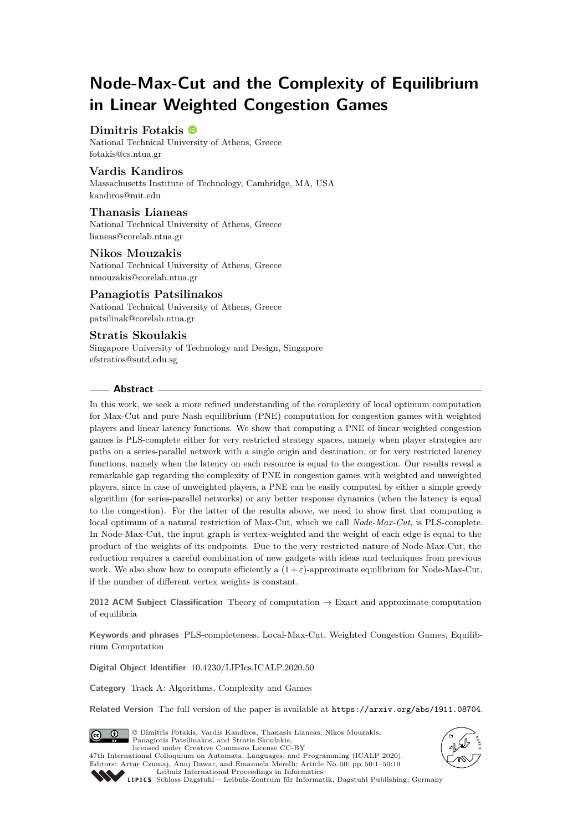# **Node-Max-Cut and the Complexity of Equilibrium in Linear Weighted Congestion Games**

# **Dimitris Fotakis**

National Technical University of Athens, Greece [fotakis@cs.ntua.gr](mailto:fotakis@cs.ntua.gr)

## **Vardis Kandiros**

Massachusetts Institute of Technology, Cambridge, MA, USA [kandiros@mit.edu](mailto:kandiros@mit.edu)

## **Thanasis Lianeas**

National Technical University of Athens, Greece [lianeas@corelab.ntua.gr](mailto:lianeas@corelab.ntua.gr)

## **Nikos Mouzakis**

National Technical University of Athens, Greece [nmouzakis@corelab.ntua.gr](mailto:nmouzakis@corelab.ntua.gr)

# **Panagiotis Patsilinakos**

National Technical University of Athens, Greece [patsilinak@corelab.ntua.gr](mailto:patsilinak@corelab.ntua.gr)

## **Stratis Skoulakis**

Singapore University of Technology and Design, Singapore [efstratios@sutd.edu.sg](mailto:efstratios@sutd.edu.sg)

### **Abstract**

In this work, we seek a more refined understanding of the complexity of local optimum computation for Max-Cut and pure Nash equilibrium (PNE) computation for congestion games with weighted players and linear latency functions. We show that computing a PNE of linear weighted congestion games is PLS-complete either for very restricted strategy spaces, namely when player strategies are paths on a series-parallel network with a single origin and destination, or for very restricted latency functions, namely when the latency on each resource is equal to the congestion. Our results reveal a remarkable gap regarding the complexity of PNE in congestion games with weighted and unweighted players, since in case of unweighted players, a PNE can be easily computed by either a simple greedy algorithm (for series-parallel networks) or any better response dynamics (when the latency is equal to the congestion). For the latter of the results above, we need to show first that computing a local optimum of a natural restriction of Max-Cut, which we call *Node-Max-Cut*, is PLS-complete. In Node-Max-Cut, the input graph is vertex-weighted and the weight of each edge is equal to the product of the weights of its endpoints. Due to the very restricted nature of Node-Max-Cut, the reduction requires a careful combination of new gadgets with ideas and techniques from previous work. We also show how to compute efficiently a  $(1+\varepsilon)$ -approximate equilibrium for Node-Max-Cut, if the number of different vertex weights is constant.

**2012 ACM Subject Classification** Theory of computation → Exact and approximate computation of equilibria

**Keywords and phrases** PLS-completeness, Local-Max-Cut, Weighted Congestion Games, Equilibrium Computation

**Digital Object Identifier** [10.4230/LIPIcs.ICALP.2020.50](https://doi.org/10.4230/LIPIcs.ICALP.2020.50)

**Category** Track A: Algorithms, Complexity and Games

**Related Version** The full version of the paper is available at <https://arxiv.org/abs/1911.08704>.



© Dimitris Fotakis, Vardis Kandiros, Thanasis Lianeas, Nikos Mouzakis, Panagiotis Patsilinakos, and Stratis Skoulakis; licensed under Creative Commons License CC-BY 47th International Colloquium on Automata, Languages, and Programming (ICALP 2020). Editors: Artur Czumaj, Anuj Dawar, and Emanuela Merelli; Article No. 50; pp. 50:1–50[:19](#page-18-0)





[Leibniz International Proceedings in Informatics](https://www.dagstuhl.de/lipics/) [Schloss Dagstuhl – Leibniz-Zentrum für Informatik, Dagstuhl Publishing, Germany](https://www.dagstuhl.de)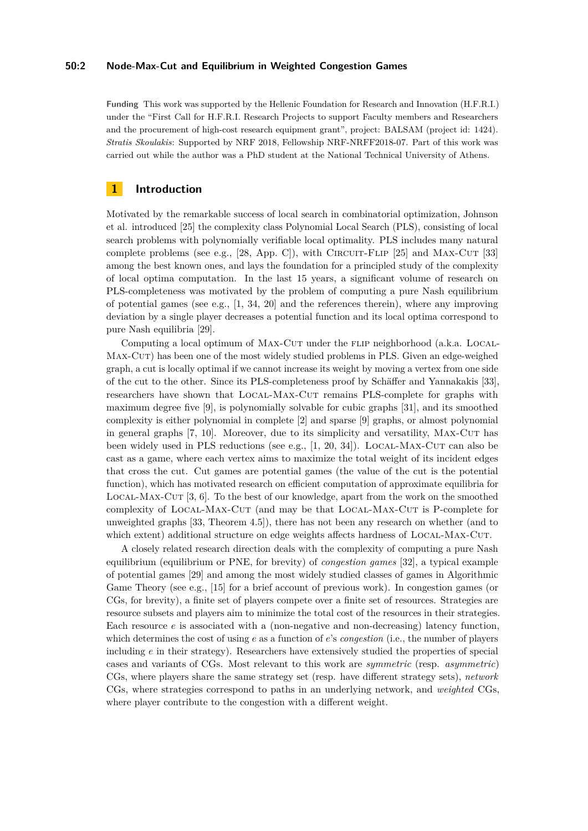#### **50:2 Node-Max-Cut and Equilibrium in Weighted Congestion Games**

**Funding** This work was supported by the Hellenic Foundation for Research and Innovation (H.F.R.I.) under the "First Call for H.F.R.I. Research Projects to support Faculty members and Researchers and the procurement of high-cost research equipment grant", project: BALSAM (project id: 1424). *Stratis Skoulakis*: Supported by NRF 2018, Fellowship NRF-NRFF2018-07. Part of this work was carried out while the author was a PhD student at the National Technical University of Athens.

# **1 Introduction**

Motivated by the remarkable success of local search in combinatorial optimization, Johnson et al. introduced [\[25\]](#page-18-1) the complexity class Polynomial Local Search (PLS), consisting of local search problems with polynomially verifiable local optimality. PLS includes many natural complete problems (see e.g.,  $[28, App. C]$  $[28, App. C]$ ), with CIRCUIT-FLIP  $[25]$  and MAX-CUT  $[33]$ among the best known ones, and lays the foundation for a principled study of the complexity of local optima computation. In the last 15 years, a significant volume of research on PLS-completeness was motivated by the problem of computing a pure Nash equilibrium of potential games (see e.g.,  $[1, 34, 20]$  $[1, 34, 20]$  $[1, 34, 20]$  $[1, 34, 20]$  $[1, 34, 20]$  and the references therein), where any improving deviation by a single player decreases a potential function and its local optima correspond to pure Nash equilibria [\[29\]](#page-18-6).

Computing a local optimum of MAX-CUT under the FLIP neighborhood (a.k.a. LOCAL-MAX-CUT) has been one of the most widely studied problems in PLS. Given an edge-weighed graph, a cut is locally optimal if we cannot increase its weight by moving a vertex from one side of the cut to the other. Since its PLS-completeness proof by Schäffer and Yannakakis [\[33\]](#page-18-3), researchers have shown that Local-Max-Cut remains PLS-complete for graphs with maximum degree five [\[9\]](#page-17-1), is polynomially solvable for cubic graphs [\[31\]](#page-18-7), and its smoothed complexity is either polynomial in complete [\[2\]](#page-17-2) and sparse [\[9\]](#page-17-1) graphs, or almost polynomial in general graphs [\[7,](#page-17-3) [10\]](#page-17-4). Moreover, due to its simplicity and versatility, Max-Cut has been widely used in PLS reductions (see e.g.,  $[1, 20, 34]$  $[1, 20, 34]$  $[1, 20, 34]$  $[1, 20, 34]$  $[1, 20, 34]$ ). LOCAL-MAX-CUT can also be cast as a game, where each vertex aims to maximize the total weight of its incident edges that cross the cut. Cut games are potential games (the value of the cut is the potential function), which has motivated research on efficient computation of approximate equilibria for Local-Max-Cut [\[3,](#page-17-5) [6\]](#page-17-6). To the best of our knowledge, apart from the work on the smoothed complexity of Local-Max-Cut (and may be that Local-Max-Cut is P-complete for unweighted graphs [\[33,](#page-18-3) Theorem 4.5]), there has not been any research on whether (and to which extent) additional structure on edge weights affects hardness of LOCAL-MAX-CUT.

A closely related research direction deals with the complexity of computing a pure Nash equilibrium (equilibrium or PNE, for brevity) of *congestion games* [\[32\]](#page-18-8), a typical example of potential games [\[29\]](#page-18-6) and among the most widely studied classes of games in Algorithmic Game Theory (see e.g., [\[15\]](#page-17-7) for a brief account of previous work). In congestion games (or CGs, for brevity), a finite set of players compete over a finite set of resources. Strategies are resource subsets and players aim to minimize the total cost of the resources in their strategies. Each resource *e* is associated with a (non-negative and non-decreasing) latency function, which determines the cost of using *e* as a function of *e*'s *congestion* (i.e., the number of players including *e* in their strategy). Researchers have extensively studied the properties of special cases and variants of CGs. Most relevant to this work are *symmetric* (resp. *asymmetric*) CGs, where players share the same strategy set (resp. have different strategy sets), *network* CGs, where strategies correspond to paths in an underlying network, and *weighted* CGs, where player contribute to the congestion with a different weight.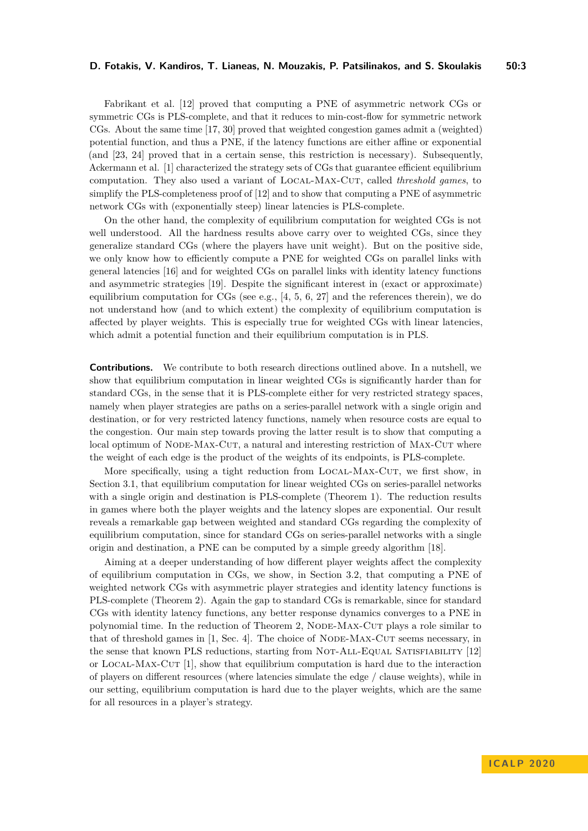Fabrikant et al. [\[12\]](#page-17-8) proved that computing a PNE of asymmetric network CGs or symmetric CGs is PLS-complete, and that it reduces to min-cost-flow for symmetric network CGs. About the same time [\[17,](#page-17-9) [30\]](#page-18-9) proved that weighted congestion games admit a (weighted) potential function, and thus a PNE, if the latency functions are either affine or exponential (and [\[23,](#page-18-10) [24\]](#page-18-11) proved that in a certain sense, this restriction is necessary). Subsequently, Ackermann et al. [\[1\]](#page-17-0) characterized the strategy sets of CGs that guarantee efficient equilibrium computation. They also used a variant of Local-Max-Cut, called *threshold games*, to simplify the PLS-completeness proof of [\[12\]](#page-17-8) and to show that computing a PNE of asymmetric network CGs with (exponentially steep) linear latencies is PLS-complete.

On the other hand, the complexity of equilibrium computation for weighted CGs is not well understood. All the hardness results above carry over to weighted CGs, since they generalize standard CGs (where the players have unit weight). But on the positive side, we only know how to efficiently compute a PNE for weighted CGs on parallel links with general latencies [\[16\]](#page-17-10) and for weighted CGs on parallel links with identity latency functions and asymmetric strategies [\[19\]](#page-18-12). Despite the significant interest in (exact or approximate) equilibrium computation for CGs (see e.g.,  $[4, 5, 6, 27]$  $[4, 5, 6, 27]$  $[4, 5, 6, 27]$  $[4, 5, 6, 27]$  $[4, 5, 6, 27]$  $[4, 5, 6, 27]$  $[4, 5, 6, 27]$  and the references therein), we do not understand how (and to which extent) the complexity of equilibrium computation is affected by player weights. This is especially true for weighted CGs with linear latencies, which admit a potential function and their equilibrium computation is in PLS.

**Contributions.** We contribute to both research directions outlined above. In a nutshell, we show that equilibrium computation in linear weighted CGs is significantly harder than for standard CGs, in the sense that it is PLS-complete either for very restricted strategy spaces, namely when player strategies are paths on a series-parallel network with a single origin and destination, or for very restricted latency functions, namely when resource costs are equal to the congestion. Our main step towards proving the latter result is to show that computing a local optimum of NODE-MAX-CUT, a natural and interesting restriction of MAX-CUT where the weight of each edge is the product of the weights of its endpoints, is PLS-complete.

More specifically, using a tight reduction from LOCAL-MAX-CUT, we first show, in Section [3.1,](#page-6-0) that equilibrium computation for linear weighted CGs on series-parallel networks with a single origin and destination is PLS-complete (Theorem [1\)](#page-6-1). The reduction results in games where both the player weights and the latency slopes are exponential. Our result reveals a remarkable gap between weighted and standard CGs regarding the complexity of equilibrium computation, since for standard CGs on series-parallel networks with a single origin and destination, a PNE can be computed by a simple greedy algorithm [\[18\]](#page-18-14).

Aiming at a deeper understanding of how different player weights affect the complexity of equilibrium computation in CGs, we show, in Section [3.2,](#page-8-0) that computing a PNE of weighted network CGs with asymmetric player strategies and identity latency functions is PLS-complete (Theorem [2\)](#page-8-1). Again the gap to standard CGs is remarkable, since for standard CGs with identity latency functions, any better response dynamics converges to a PNE in polynomial time. In the reduction of Theorem [2,](#page-8-1) Node-Max-Cut plays a role similar to that of threshold games in  $[1, Sec. 4]$  $[1, Sec. 4]$ . The choice of NODE-MAX-CUT seems necessary, in the sense that known PLS reductions, starting from NOT-ALL-EQUAL SATISFIABILITY [\[12\]](#page-17-8) or Local-Max-Cut [\[1\]](#page-17-0), show that equilibrium computation is hard due to the interaction of players on different resources (where latencies simulate the edge / clause weights), while in our setting, equilibrium computation is hard due to the player weights, which are the same for all resources in a player's strategy.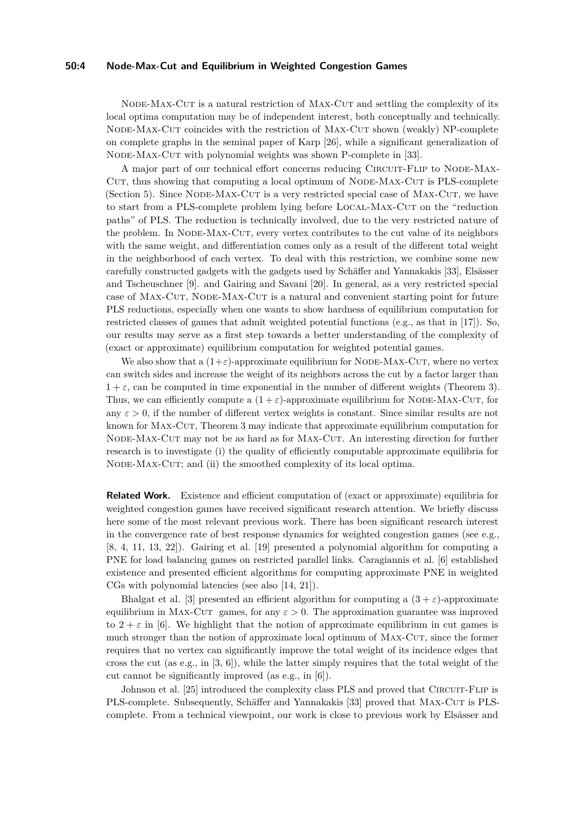#### **50:4 Node-Max-Cut and Equilibrium in Weighted Congestion Games**

NODE-MAX-CUT is a natural restriction of MAX-CUT and settling the complexity of its local optima computation may be of independent interest, both conceptually and technically. Node-Max-Cut coincides with the restriction of Max-Cut shown (weakly) NP-complete on complete graphs in the seminal paper of Karp [\[26\]](#page-18-15), while a significant generalization of Node-Max-Cut with polynomial weights was shown P-complete in [\[33\]](#page-18-3).

A major part of our technical effort concerns reducing Circuit-Flip to Node-Max-CUT, thus showing that computing a local optimum of NODE-MAX-CUT is PLS-complete (Section [5\)](#page-9-0). Since NODE-MAX-CUT is a very restricted special case of MAX-CUT, we have to start from a PLS-complete problem lying before LOCAL-MAX-CUT on the "reduction paths" of PLS. The reduction is technically involved, due to the very restricted nature of the problem. In NODE-MAX-CUT, every vertex contributes to the cut value of its neighbors with the same weight, and differentiation comes only as a result of the different total weight in the neighborhood of each vertex. To deal with this restriction, we combine some new carefully constructed gadgets with the gadgets used by Schäffer and Yannakakis [\[33\]](#page-18-3), Elsässer and Tscheuschner [\[9\]](#page-17-1). and Gairing and Savani [\[20\]](#page-18-5). In general, as a very restricted special case of MAX-CUT, NODE-MAX-CUT is a natural and convenient starting point for future PLS reductions, especially when one wants to show hardness of equilibrium computation for restricted classes of games that admit weighted potential functions (e.g., as that in [\[17\]](#page-17-9)). So, our results may serve as a first step towards a better understanding of the complexity of (exact or approximate) equilibrium computation for weighted potential games.

We also show that a  $(1+\varepsilon)$ -approximate equilibrium for NODE-MAX-CUT, where no vertex can switch sides and increase the weight of its neighbors across the cut by a factor larger than  $1 + \varepsilon$ , can be computed in time exponential in the number of different weights (Theorem [3\)](#page-9-1). Thus, we can efficiently compute a  $(1 + \varepsilon)$ -approximate equilibrium for NODE-MAX-CUT, for any  $\varepsilon > 0$ , if the number of different vertex weights is constant. Since similar results are not known for Max-Cut, Theorem [3](#page-9-1) may indicate that approximate equilibrium computation for NODE-MAX-CUT may not be as hard as for MAX-CUT. An interesting direction for further research is to investigate (i) the quality of efficiently computable approximate equilibria for NODE-MAX-CUT; and (ii) the smoothed complexity of its local optima.

**Related Work.** Existence and efficient computation of (exact or approximate) equilibria for weighted congestion games have received significant research attention. We briefly discuss here some of the most relevant previous work. There has been significant research interest in the convergence rate of best response dynamics for weighted congestion games (see e.g., [\[8,](#page-17-13) [4,](#page-17-11) [11,](#page-17-14) [13,](#page-17-15) [22\]](#page-18-16)). Gairing et al. [\[19\]](#page-18-12) presented a polynomial algorithm for computing a PNE for load balancing games on restricted parallel links. Caragiannis et al. [\[6\]](#page-17-6) established existence and presented efficient algorithms for computing approximate PNE in weighted CGs with polynomial latencies (see also [\[14,](#page-17-16) [21\]](#page-18-17)).

Bhalgat et al. [\[3\]](#page-17-5) presented an efficient algorithm for computing a  $(3 + \varepsilon)$ -approximate equilibrium in MAX-CUT games, for any  $\varepsilon > 0$ . The approximation guarantee was improved to  $2 + \varepsilon$  in [\[6\]](#page-17-6). We highlight that the notion of approximate equilibrium in cut games is much stronger than the notion of approximate local optimum of MAX-CUT, since the former requires that no vertex can significantly improve the total weight of its incidence edges that cross the cut (as e.g., in  $[3, 6]$  $[3, 6]$  $[3, 6]$ ), while the latter simply requires that the total weight of the cut cannot be significantly improved (as e.g., in [\[6\]](#page-17-6)).

Johnson et al. [\[25\]](#page-18-1) introduced the complexity class PLS and proved that CIRCUIT-FLIP is PLS-complete. Subsequently, Schäffer and Yannakakis [\[33\]](#page-18-3) proved that MAX-CUT is PLScomplete. From a technical viewpoint, our work is close to previous work by Elsässer and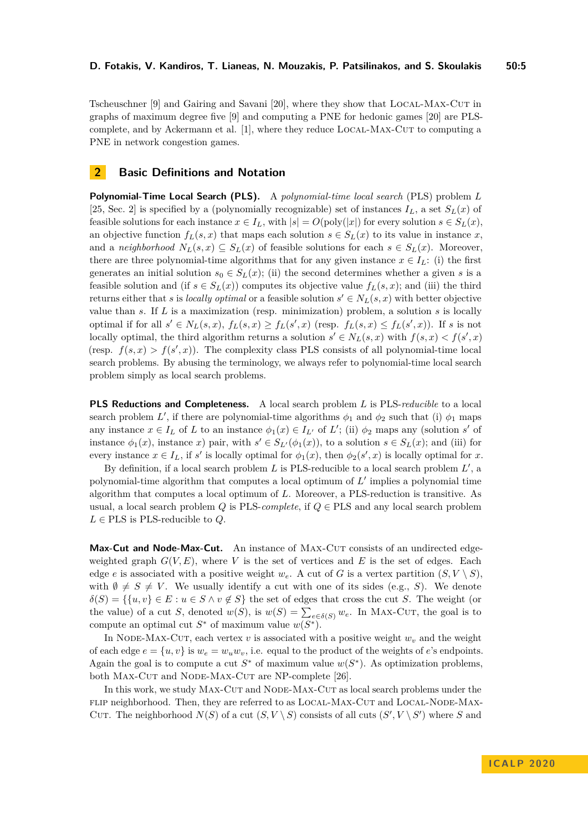Tscheuschner [\[9\]](#page-17-1) and Gairing and Savani [\[20\]](#page-18-5), where they show that Local-Max-Cut in graphs of maximum degree five [\[9\]](#page-17-1) and computing a PNE for hedonic games [\[20\]](#page-18-5) are PLS-complete, and by Ackermann et al. [\[1\]](#page-17-0), where they reduce LOCAL-MAX-CUT to computing a PNE in network congestion games.

## <span id="page-4-0"></span>**2 Basic Definitions and Notation**

**Polynomial-Time Local Search (PLS).** A *polynomial-time local search* (PLS) problem *L* [\[25,](#page-18-1) Sec. 2] is specified by a (polynomially recognizable) set of instances  $I_L$ , a set  $S_L(x)$  of feasible solutions for each instance  $x \in I_L$ , with  $|s| = O(\text{poly}(|x|))$  for every solution  $s \in S_L(x)$ , an objective function  $f_L(s, x)$  that maps each solution  $s \in S_L(x)$  to its value in instance x, and a *neighborhood*  $N_L(s, x) \subseteq S_L(x)$  of feasible solutions for each  $s \in S_L(x)$ . Moreover, there are three polynomial-time algorithms that for any given instance  $x \in I_L$ : (i) the first generates an initial solution  $s_0 \in S_L(x)$ ; (ii) the second determines whether a given *s* is a feasible solution and (if  $s \in S_L(x)$ ) computes its objective value  $f_L(s, x)$ ; and (iii) the third returns either that *s* is *locally optimal* or a feasible solution  $s' \in N_L(s, x)$  with better objective value than *s*. If *L* is a maximization (resp. minimization) problem, a solution *s* is locally optimal if for all  $s' \in N_L(s,x)$ ,  $f_L(s,x) \ge f_L(s',x)$  (resp.  $f_L(s,x) \le f_L(s',x)$ ). If s is not locally optimal, the third algorithm returns a solution  $s' \in N_L(s, x)$  with  $f(s, x) < f(s', x)$ (resp.  $f(s, x) > f(s', x)$ ). The complexity class PLS consists of all polynomial-time local search problems. By abusing the terminology, we always refer to polynomial-time local search problem simply as local search problems.

**PLS Reductions and Completeness.** A local search problem *L* is PLS-*reducible* to a local search problem *L'*, if there are polynomial-time algorithms  $\phi_1$  and  $\phi_2$  such that (i)  $\phi_1$  maps any instance  $x \in I_L$  of *L* to an instance  $\phi_1(x) \in I_{L'}$  of *L*'; (ii)  $\phi_2$  maps any (solution *s'* of instance  $\phi_1(x)$ , instance *x*) pair, with  $s' \in S_{L}(\phi_1(x))$ , to a solution  $s \in S_L(x)$ ; and (iii) for every instance  $x \in I_L$ , if *s'* is locally optimal for  $\phi_1(x)$ , then  $\phi_2(s', x)$  is locally optimal for *x*.

By definition, if a local search problem  $L$  is PLS-reducible to a local search problem  $L'$ , a polynomial-time algorithm that computes a local optimum of  $L'$  implies a polynomial time algorithm that computes a local optimum of *L*. Moreover, a PLS-reduction is transitive. As usual, a local search problem *Q* is PLS-*complete*, if  $Q \in PLS$  and any local search problem  $L \in PLS$  is PLS-reducible to  $Q$ .

**Max-Cut and Node-Max-Cut.** An instance of MAX-CUT consists of an undirected edgeweighted graph  $G(V, E)$ , where V is the set of vertices and E is the set of edges. Each edge *e* is associated with a positive weight  $w_e$ . A cut of *G* is a vertex partition  $(S, V \setminus S)$ , with  $\emptyset \neq S \neq V$ . We usually identify a cut with one of its sides (e.g., *S*). We denote  $\delta(S) = \{ \{u, v\} \in E : u \in S \land v \notin S \}$  the set of edges that cross the cut *S*. The weight (or the value) of a cut *S*, denoted  $w(S)$ , is  $w(S) = \sum_{e \in \delta(S)} w_e$ . In MAX-CUT, the goal is to compute an optimal cut  $S^*$  of maximum value  $w(S^*)$ .

In NODE-MAX-CUT, each vertex  $v$  is associated with a positive weight  $w<sub>v</sub>$  and the weight of each edge  $e = \{u, v\}$  is  $w_e = w_u w_v$ , i.e. equal to the product of the weights of *e*'s endpoints. Again the goal is to compute a cut  $S^*$  of maximum value  $w(S^*)$ . As optimization problems, both MAX-CUT and NODE-MAX-CUT are NP-complete [\[26\]](#page-18-15).

In this work, we study MAX-CUT and NODE-MAX-CUT as local search problems under the flip neighborhood. Then, they are referred to as Local-Max-Cut and Local-Node-Max-CUT. The neighborhood  $N(S)$  of a cut  $(S, V \setminus S)$  consists of all cuts  $(S', V \setminus S')$  where *S* and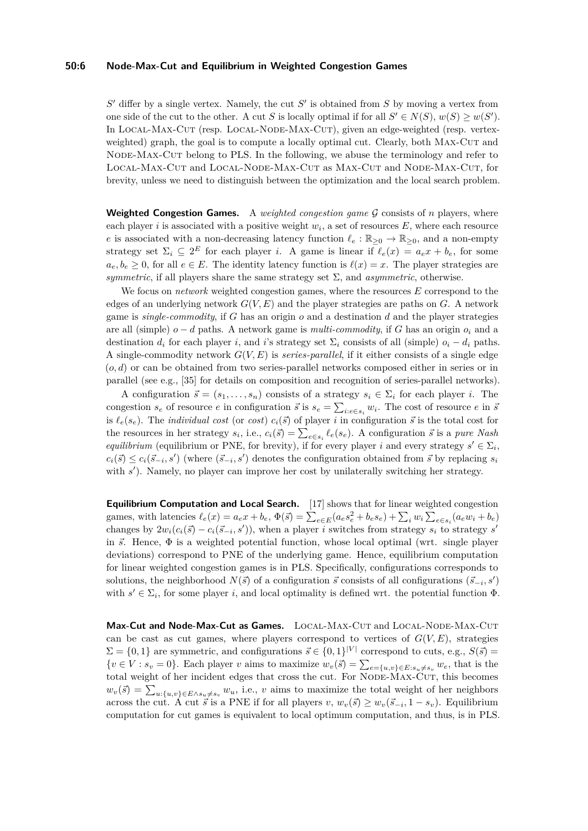#### **50:6 Node-Max-Cut and Equilibrium in Weighted Congestion Games**

 $S'$  differ by a single vertex. Namely, the cut  $S'$  is obtained from  $S$  by moving a vertex from one side of the cut to the other. A cut *S* is locally optimal if for all  $S' \in N(S)$ ,  $w(S) \geq w(S')$ . In Local-Max-Cut (resp. Local-Node-Max-Cut), given an edge-weighted (resp. vertexweighted) graph, the goal is to compute a locally optimal cut. Clearly, both MAX-CUT and Node-Max-Cut belong to PLS. In the following, we abuse the terminology and refer to Local-Max-Cut and Local-Node-Max-Cut as Max-Cut and Node-Max-Cut, for brevity, unless we need to distinguish between the optimization and the local search problem.

**Weighted Congestion Games.** A *weighted congestion game* G consists of *n* players, where each player *i* is associated with a positive weight  $w_i$ , a set of resources  $E$ , where each resource *e* is associated with a non-decreasing latency function  $\ell_e : \mathbb{R}_{\geq 0} \to \mathbb{R}_{\geq 0}$ , and a non-empty strategy set  $\Sigma_i \subseteq 2^E$  for each player *i*. A game is linear if  $\ell_e(x) = a_e x + b_e$ , for some  $a_e, b_e \geq 0$ , for all  $e \in E$ . The identity latency function is  $\ell(x) = x$ . The player strategies are *symmetric*, if all players share the same strategy set  $\Sigma$ , and *asymmetric*, otherwise.

We focus on *network* weighted congestion games, where the resources *E* correspond to the edges of an underlying network *G*(*V, E*) and the player strategies are paths on *G*. A network game is *single-commodity*, if *G* has an origin *o* and a destination *d* and the player strategies are all (simple)  $o - d$  paths. A network game is *multi-commodity*, if *G* has an origin  $o_i$  and a destination  $d_i$  for each player *i*, and *i*'s strategy set  $\Sigma_i$  consists of all (simple)  $o_i - d_i$  paths. A single-commodity network *G*(*V, E*) is *series-parallel*, if it either consists of a single edge (*o, d*) or can be obtained from two series-parallel networks composed either in series or in parallel (see e.g., [\[35\]](#page-18-18) for details on composition and recognition of series-parallel networks).

A configuration  $\vec{s} = (s_1, \ldots, s_n)$  consists of a strategy  $s_i \in \Sigma_i$  for each player *i*. The congestion  $s_e$  of resource *e* in configuration  $\vec{s}$  is  $s_e = \sum_{i:e \in s_i} w_i$ . The cost of resource *e* in  $\vec{s}$ is  $\ell_e(s_e)$ . The *individual cost* (or *cost*)  $c_i(\vec{s})$  of player *i* in configuration  $\vec{s}$  is the total cost for the resources in her strategy  $s_i$ , i.e.,  $c_i(\vec{s}) = \sum_{e \in s_i} \ell_e(s_e)$ . A configuration  $\vec{s}$  is a *pure Nash equilibrium* (equilibrium or PNE, for brevity), if for every player *i* and every strategy  $s' \in \Sigma_i$ ,  $c_i(\vec{s}) \leq c_i(\vec{s}_{-i}, s')$  (where  $(\vec{s}_{-i}, s')$  denotes the configuration obtained from  $\vec{s}$  by replacing  $s_i$ with  $s'$ ). Namely, no player can improve her cost by unilaterally switching her strategy.

**Equilibrium Computation and Local Search.** [\[17\]](#page-17-9) shows that for linear weighted congestion games, with latencies  $\ell_e(x) = a_e x + b_e$ ,  $\Phi(\vec{s}) = \sum_{e \in E} (a_e s_e^2 + b_e s_e) + \sum_i w_i \sum_{e \in s_i} (a_e w_i + b_e)$ changes by  $2w_i(c_i(\vec{s}) - c_i(\vec{s}_{-i}, s'))$ , when a player *i* switches from strategy  $s_i$  to strategy  $s'$ in  $\vec{s}$ . Hence,  $\Phi$  is a weighted potential function, whose local optimal (wrt. single player deviations) correspond to PNE of the underlying game. Hence, equilibrium computation for linear weighted congestion games is in PLS. Specifically, configurations corresponds to solutions, the neighborhood  $N(\vec{s})$  of a configuration  $\vec{s}$  consists of all configurations  $(\vec{s}_{-i}, s')$ with  $s' \in \Sigma_i$ , for some player *i*, and local optimality is defined wrt. the potential function  $\Phi$ .

Max-Cut and Node-Max-Cut as Games. LOCAL-MAX-CUT and LOCAL-NODE-MAX-CUT can be cast as cut games, where players correspond to vertices of  $G(V, E)$ , strategies  $\Sigma = \{0, 1\}$  are symmetric, and configurations  $\vec{s} \in \{0, 1\}^{|V|}$  correspond to cuts, e.g.,  $S(\vec{s}) =$  ${v \in V : s_v = 0}.$  Each player *v* aims to maximize  $w_v(\vec{s}) = \sum_{e=\{u,v\} \in E: s_u \neq s_v} w_e$ , that is the total weight of her incident edges that cross the cut. For NODE-MAX-CUT, this becomes  $w_v(\vec{s}) = \sum_{u:\{u,v\} \in E \wedge s_u \neq s_v} w_u$ , i.e., *v* aims to maximize the total weight of her neighbors across the cut. A cut  $\vec{s}$  is a PNE if for all players  $v, w_v(\vec{s}) \geq w_v(\vec{s}_{-i}, 1 - s_v)$ . Equilibrium computation for cut games is equivalent to local optimum computation, and thus, is in PLS.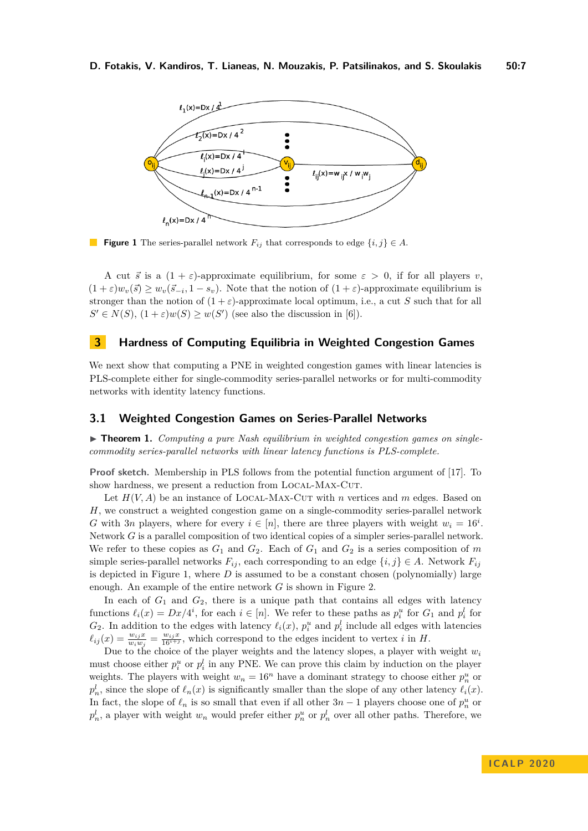#### <span id="page-6-2"></span>**D. Fotakis, V. Kandiros, T. Lianeas, N. Mouzakis, P. Patsilinakos, and S. Skoulakis 50:7**



**Figure 1** The series-parallel network  $F_{ij}$  that corresponds to edge  $\{i, j\} \in A$ .

A cut  $\vec{s}$  is a  $(1 + \varepsilon)$ -approximate equilibrium, for some  $\varepsilon > 0$ , if for all players *v*,  $(1 + \varepsilon)w_v(\vec{s}) \geq w_v(\vec{s}_{-i}, 1 - s_v)$ . Note that the notion of  $(1 + \varepsilon)$ -approximate equilibrium is stronger than the notion of  $(1 + \varepsilon)$ -approximate local optimum, i.e., a cut *S* such that for all  $S' \in N(S)$ ,  $(1+\varepsilon)w(S) \geq w(S')$  (see also the discussion in [\[6\]](#page-17-6)).

## <span id="page-6-3"></span>**3 Hardness of Computing Equilibria in Weighted Congestion Games**

We next show that computing a PNE in weighted congestion games with linear latencies is PLS-complete either for single-commodity series-parallel networks or for multi-commodity networks with identity latency functions.

#### <span id="page-6-0"></span>**3.1 Weighted Congestion Games on Series-Parallel Networks**

<span id="page-6-1"></span>▶ **Theorem 1.** *Computing a pure Nash equilibrium in weighted congestion games on singlecommodity series-parallel networks with linear latency functions is PLS-complete.*

**Proof sketch.** Membership in PLS follows from the potential function argument of [\[17\]](#page-17-9). To show hardness, we present a reduction from LOCAL-MAX-CUT.

Let  $H(V, A)$  be an instance of LOCAL-MAX-CUT with *n* vertices and *m* edges. Based on *H*, we construct a weighted congestion game on a single-commodity series-parallel network *G* with 3*n* players, where for every  $i \in [n]$ , there are three players with weight  $w_i = 16^i$ . Network *G* is a parallel composition of two identical copies of a simpler series-parallel network. We refer to these copies as  $G_1$  and  $G_2$ . Each of  $G_1$  and  $G_2$  is a series composition of  $m$ simple series-parallel networks  $F_{ij}$ , each corresponding to an edge  $\{i, j\} \in A$ . Network  $F_{ij}$ is depicted in Figure [1,](#page-6-2) where *D* is assumed to be a constant chosen (polynomially) large enough. An example of the entire network *G* is shown in Figure [2.](#page-7-0)

In each of  $G_1$  and  $G_2$ , there is a unique path that contains all edges with latency functions  $\ell_i(x) = Dx/4^i$ , for each  $i \in [n]$ . We refer to these paths as  $p_i^u$  for  $G_1$  and  $p_i^l$  for  $G_2$ . In addition to the edges with latency  $\ell_i(x)$ ,  $p_i^u$  and  $p_i^l$  include all edges with latencies  $\ell_{ij}(x) = \frac{w_{ij}x}{w_i w_j} = \frac{w_{ij}x}{16^{i+j}}$ , which correspond to the edges incident to vertex *i* in *H*.

Due to the choice of the player weights and the latency slopes, a player with weight *w<sup>i</sup>* must choose either  $p_i^u$  or  $p_i^l$  in any PNE. We can prove this claim by induction on the player weights. The players with weight  $w_n = 16^n$  have a dominant strategy to choose either  $p_n^u$  or  $p_n^l$ , since the slope of  $\ell_n(x)$  is significantly smaller than the slope of any other latency  $\ell_i(x)$ . In fact, the slope of  $\ell_n$  is so small that even if all other  $3n - 1$  players choose one of  $p_n^u$  or  $p_n^l$ , a player with weight  $w_n$  would prefer either  $p_n^u$  or  $p_n^l$  over all other paths. Therefore, we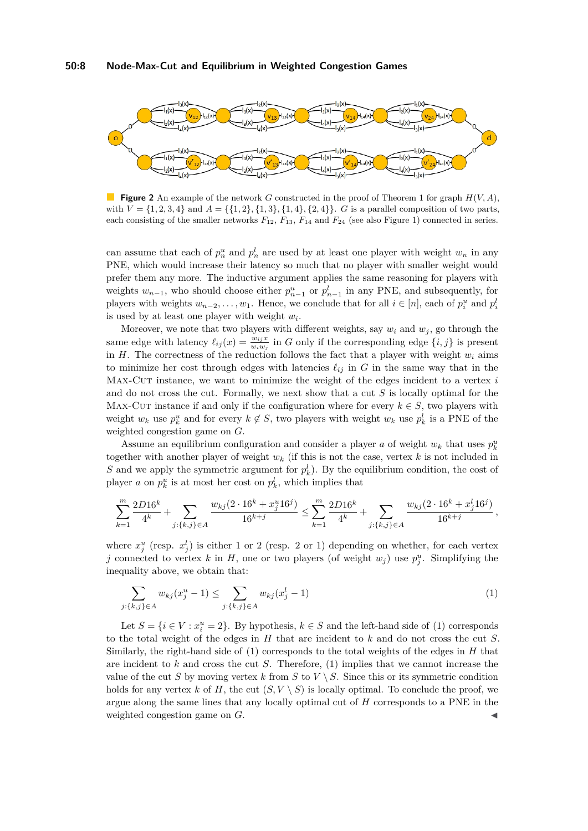<span id="page-7-0"></span>

**Figure 2** An example of the network *G* constructed in the proof of Theorem [1](#page-6-1) for graph  $H(V, A)$ , with  $V = \{1, 2, 3, 4\}$  and  $A = \{\{1, 2\}, \{1, 3\}, \{1, 4\}, \{2, 4\}\}\$ . *G* is a parallel composition of two parts, each consisting of the smaller networks  $F_{12}$ ,  $F_{13}$ ,  $F_{14}$  and  $F_{24}$  (see also Figure [1\)](#page-6-2) connected in series.

can assume that each of  $p_n^u$  and  $p_n^l$  are used by at least one player with weight  $w_n$  in any PNE, which would increase their latency so much that no player with smaller weight would prefer them any more. The inductive argument applies the same reasoning for players with weights  $w_{n-1}$ , who should choose either  $p_{n-1}^u$  or  $p_{n-1}^l$  in any PNE, and subsequently, for players with weights  $w_{n-2}, \ldots, w_1$ . Hence, we conclude that for all  $i \in [n]$ , each of  $p_i^u$  and  $p_i^l$ is used by at least one player with weight *w<sup>i</sup>* .

Moreover, we note that two players with different weights, say  $w_i$  and  $w_j$ , go through the same edge with latency  $\ell_{ij}(x) = \frac{w_{ij}x}{w_iw_j}$  in *G* only if the corresponding edge  $\{i, j\}$  is present in  $H$ . The correctness of the reduction follows the fact that a player with weight  $w_i$  aims to minimize her cost through edges with latencies  $\ell_{ij}$  in *G* in the same way that in the Max-Cut instance, we want to minimize the weight of the edges incident to a vertex *i* and do not cross the cut. Formally, we next show that a cut *S* is locally optimal for the MAX-CUT instance if and only if the configuration where for every  $k \in S$ , two players with weight  $w_k$  use  $p_k^u$  and for every  $k \notin S$ , two players with weight  $w_k$  use  $p_k^l$  is a PNE of the weighted congestion game on *G*.

Assume an equilibrium configuration and consider a player *a* of weight  $w_k$  that uses  $p_k^u$ together with another player of weight  $w_k$  (if this is not the case, vertex  $k$  is not included in *S* and we apply the symmetric argument for  $p_k^l$ ). By the equilibrium condition, the cost of player *a* on  $p_k^u$  is at most her cost on  $p_k^l$ , which implies that

$$
\sum_{k=1}^m \frac{2D16^k}{4^k} + \sum_{j:\{k,j\} \in A} \frac{w_{kj}(2 \cdot 16^k + x_j^u 16^j)}{16^{k+j}} \le \sum_{k=1}^m \frac{2D16^k}{4^k} + \sum_{j:\{k,j\} \in A} \frac{w_{kj}(2 \cdot 16^k + x_j^l 16^j)}{16^{k+j}},
$$

where  $x_j^u$  (resp.  $x_j^l$ ) is either 1 or 2 (resp. 2 or 1) depending on whether, for each vertex *j* connected to vertex *k* in *H*, one or two players (of weight  $w_j$ ) use  $p_j^u$ . Simplifying the inequality above, we obtain that:

<span id="page-7-1"></span>
$$
\sum_{j:\{k,j\}\in A} w_{kj}(x_j^u - 1) \le \sum_{j:\{k,j\}\in A} w_{kj}(x_j^l - 1) \tag{1}
$$

Let  $S = \{i \in V : x_i^u = 2\}$ . By hypothesis,  $k \in S$  and the left-hand side of [\(1\)](#page-7-1) corresponds to the total weight of the edges in *H* that are incident to *k* and do not cross the cut *S*. Similarly, the right-hand side of [\(1\)](#page-7-1) corresponds to the total weights of the edges in *H* that are incident to *k* and cross the cut *S*. Therefore, [\(1\)](#page-7-1) implies that we cannot increase the value of the cut *S* by moving vertex *k* from *S* to  $V \setminus S$ . Since this or its symmetric condition holds for any vertex k of H, the cut  $(S, V \setminus S)$  is locally optimal. To conclude the proof, we argue along the same lines that any locally optimal cut of *H* corresponds to a PNE in the weighted congestion game on *G*.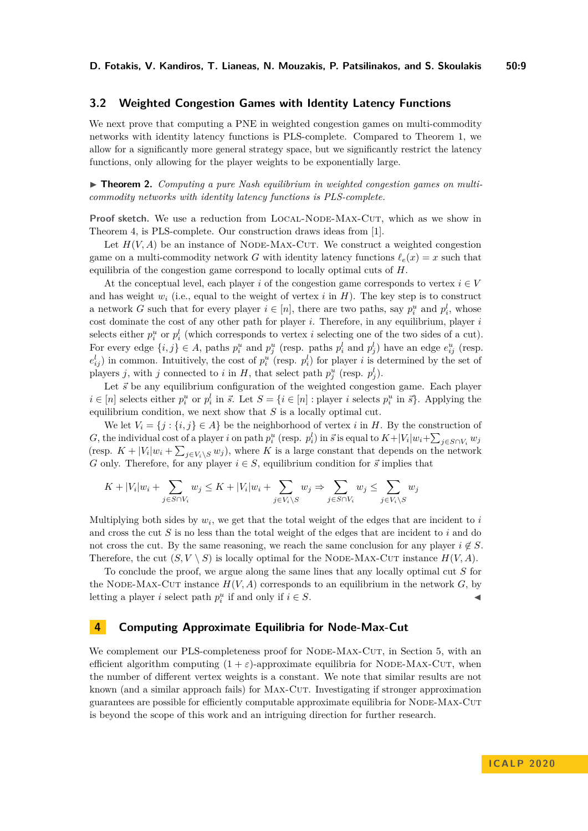## <span id="page-8-0"></span>**3.2 Weighted Congestion Games with Identity Latency Functions**

We next prove that computing a PNE in weighted congestion games on multi-commodity networks with identity latency functions is PLS-complete. Compared to Theorem [1,](#page-6-1) we allow for a significantly more general strategy space, but we significantly restrict the latency functions, only allowing for the player weights to be exponentially large.

<span id="page-8-1"></span>▶ **Theorem 2.** *Computing a pure Nash equilibrium in weighted congestion games on multicommodity networks with identity latency functions is PLS-complete.*

**Proof sketch.** We use a reduction from LOCAL-NODE-MAX-CUT, which as we show in Theorem [4,](#page-9-2) is PLS-complete. Our construction draws ideas from [\[1\]](#page-17-0).

Let  $H(V, A)$  be an instance of NODE-MAX-CUT. We construct a weighted congestion game on a multi-commodity network *G* with identity latency functions  $\ell_e(x) = x$  such that equilibria of the congestion game correspond to locally optimal cuts of *H*.

At the conceptual level, each player *i* of the congestion game corresponds to vertex  $i \in V$ and has weight  $w_i$  (i.e., equal to the weight of vertex  $i$  in  $H$ ). The key step is to construct a network *G* such that for every player  $i \in [n]$ , there are two paths, say  $p_i^u$  and  $p_i^l$ , whose cost dominate the cost of any other path for player *i*. Therefore, in any equilibrium, player *i* selects either  $p_i^u$  or  $p_i^l$  (which corresponds to vertex *i* selecting one of the two sides of a cut). For every edge  $\{i, j\} \in A$ , paths  $p_i^u$  and  $p_j^u$  (resp. paths  $p_i^l$  and  $p_j^l$ ) have an edge  $e_{ij}^u$  (resp.  $e_{ij}^l$ ) in common. Intuitively, the cost of  $p_i^u$  (resp.  $p_i^l$ ) for player *i* is determined by the set of players *j*, with *j* connected to *i* in *H*, that select path  $p_j^u$  (resp.  $p_j^l$ ).

Let  $\vec{s}$  be any equilibrium configuration of the weighted congestion game. Each player  $i \in [n]$  selects either  $p_i^u$  or  $p_i^l$  in  $\vec{s}$ . Let  $S = \{i \in [n] : \text{player } i \text{ selects } p_i^u \text{ in } \vec{s}\}\.$  Applying the equilibrium condition, we next show that *S* is a locally optimal cut.

We let  $V_i = \{j : \{i, j\} \in A\}$  be the neighborhood of vertex *i* in *H*. By the construction of G, the individual cost of a player i on path  $p_i^u$  (resp.  $p_i^l$ ) in  $\vec{s}$  is equal to  $K+|V_i|w_i+\sum_{j\in S\cap V_i}w_j$ (resp.  $K + |V_i|w_i + \sum_{j \in V_i \setminus S} w_j$ ), where *K* is a large constant that depends on the network *G* only. Therefore, for any player  $i \in S$ , equilibrium condition for  $\vec{s}$  implies that

$$
K + |V_i|w_i + \sum_{j \in S \cap V_i} w_j \le K + |V_i|w_i + \sum_{j \in V_i \setminus S} w_j \Rightarrow \sum_{j \in S \cap V_i} w_j \le \sum_{j \in V_i \setminus S} w_j
$$

Multiplying both sides by  $w_i$ , we get that the total weight of the edges that are incident to  $i$ and cross the cut *S* is no less than the total weight of the edges that are incident to *i* and do not cross the cut. By the same reasoning, we reach the same conclusion for any player  $i \notin S$ . Therefore, the cut  $(S, V \setminus S)$  is locally optimal for the NODE-MAX-CUT instance  $H(V, A)$ .

To conclude the proof, we argue along the same lines that any locally optimal cut *S* for the NODE-MAX-CUT instance  $H(V, A)$  corresponds to an equilibrium in the network  $G$ , by letting a player *i* select path  $p_i^u$  if and only if  $i \in S$ .

### **4 Computing Approximate Equilibria for Node-Max-Cut**

We complement our PLS-completeness proof for NODE-MAX-CUT, in Section [5,](#page-9-0) with an efficient algorithm computing  $(1 + \varepsilon)$ -approximate equilibria for NODE-MAX-CUT, when the number of different vertex weights is a constant. We note that similar results are not known (and a similar approach fails) for Max-Cut. Investigating if stronger approximation guarantees are possible for efficiently computable approximate equilibria for Node-Max-Cut is beyond the scope of this work and an intriguing direction for further research.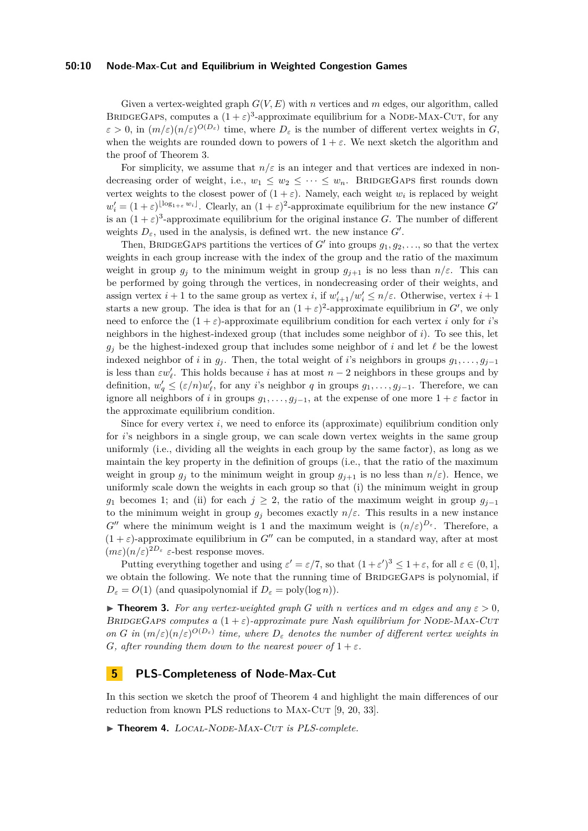#### **50:10 Node-Max-Cut and Equilibrium in Weighted Congestion Games**

Given a vertex-weighted graph *G*(*V, E*) with *n* vertices and *m* edges, our algorithm, called BRIDGEGAPS, computes a  $(1+\varepsilon)^3$ -approximate equilibrium for a NODE-MAX-CUT, for any  $\varepsilon > 0$ , in  $(m/\varepsilon)(n/\varepsilon)^{O(D_\varepsilon)}$  time, where  $D_\varepsilon$  is the number of different vertex weights in *G*, when the weights are rounded down to powers of  $1 + \varepsilon$ . We next sketch the algorithm and the proof of Theorem [3.](#page-9-1)

For simplicity, we assume that  $n/\varepsilon$  is an integer and that vertices are indexed in nondecreasing order of weight, i.e.,  $w_1 \leq w_2 \leq \cdots \leq w_n$ . BRIDGEGAPS first rounds down vertex weights to the closest power of  $(1 + \varepsilon)$ . Namely, each weight  $w_i$  is replaced by weight  $w'_i = (1 + \varepsilon)^{\lfloor \log_{1+\varepsilon} w_i \rfloor}$ . Clearly, an  $(1 + \varepsilon)^2$ -approximate equilibrium for the new instance *G*<sup>0</sup> is an  $(1+\varepsilon)^3$ -approximate equilibrium for the original instance *G*. The number of different weights  $D_{\varepsilon}$ , used in the analysis, is defined wrt. the new instance  $G'$ .

Then, BRIDGEGAPS partitions the vertices of *G'* into groups  $g_1, g_2, \ldots$ , so that the vertex weights in each group increase with the index of the group and the ratio of the maximum weight in group  $g_i$  to the minimum weight in group  $g_{i+1}$  is no less than  $n/\varepsilon$ . This can be performed by going through the vertices, in nondecreasing order of their weights, and assign vertex  $i + 1$  to the same group as vertex  $i$ , if  $w'_{i+1}/w'_i \leq n/\varepsilon$ . Otherwise, vertex  $i + 1$ starts a new group. The idea is that for an  $(1+\varepsilon)^2$ -approximate equilibrium in G', we only need to enforce the  $(1 + \varepsilon)$ -approximate equilibrium condition for each vertex *i* only for *i*'s neighbors in the highest-indexed group (that includes some neighbor of *i*). To see this, let  $g_i$  be the highest-indexed group that includes some neighbor of *i* and let  $\ell$  be the lowest indexed neighbor of *i* in  $g_j$ . Then, the total weight of *i*'s neighbors in groups  $g_1, \ldots, g_{j-1}$ is less than  $\varepsilon w'_\ell$ . This holds because *i* has at most  $n-2$  neighbors in these groups and by definition,  $w'_q \leq (\varepsilon/n)w'_\ell$ , for any *i*'s neighbor *q* in groups  $g_1, \ldots, g_{j-1}$ . Therefore, we can ignore all neighbors of *i* in groups  $g_1, \ldots, g_{j-1}$ , at the expense of one more  $1 + \varepsilon$  factor in the approximate equilibrium condition.

Since for every vertex *i*, we need to enforce its (approximate) equilibrium condition only for *i*'s neighbors in a single group, we can scale down vertex weights in the same group uniformly (i.e., dividing all the weights in each group by the same factor), as long as we maintain the key property in the definition of groups (i.e., that the ratio of the maximum weight in group  $g_j$  to the minimum weight in group  $g_{j+1}$  is no less than  $n/\varepsilon$ ). Hence, we uniformly scale down the weights in each group so that (i) the minimum weight in group *g*<sub>1</sub> becomes 1; and (ii) for each  $j \geq 2$ , the ratio of the maximum weight in group  $g_{i-1}$ to the minimum weight in group  $g_i$  becomes exactly  $n/\varepsilon$ . This results in a new instance  $G''$  where the minimum weight is 1 and the maximum weight is  $(n/\varepsilon)^{D_{\varepsilon}}$ . Therefore, a  $(1 + \varepsilon)$ -approximate equilibrium in *G*<sup>n</sup> can be computed, in a standard way, after at most  $(m\varepsilon)(n/\varepsilon)^{2D_{\varepsilon}}$   $\varepsilon$ -best response moves.

Putting everything together and using  $\varepsilon' = \varepsilon/7$ , so that  $(1 + \varepsilon')^3 \leq 1 + \varepsilon$ , for all  $\varepsilon \in (0, 1]$ , we obtain the following. We note that the running time of BRIDGEGAPS is polynomial, if  $D_{\varepsilon} = O(1)$  (and quasipolynomial if  $D_{\varepsilon} = \text{poly}(\log n)$ ).

<span id="page-9-1"></span>**Find 1.** For any vertex-weighted graph G with *n* vertices and *m* edges and any  $\varepsilon > 0$ , BRIDGEGAPS computes a  $(1 + \varepsilon)$ -approximate pure Nash equilibrium for NODE-MAX-CUT *on G in*  $(m/\varepsilon)(n/\varepsilon)^{O(D_{\varepsilon})}$  *time, where*  $D_{\varepsilon}$  *denotes the number of different vertex weights in G, after rounding them down to the nearest power of*  $1 + \varepsilon$ *.* 

## <span id="page-9-0"></span>**5 PLS-Completeness of Node-Max-Cut**

In this section we sketch the proof of Theorem [4](#page-9-2) and highlight the main differences of our reduction from known PLS reductions to MAX-CUT  $[9, 20, 33]$  $[9, 20, 33]$  $[9, 20, 33]$ .

<span id="page-9-2"></span>▶ Theorem 4. LOCAL-NODE-MAX-CUT *is PLS-complete.*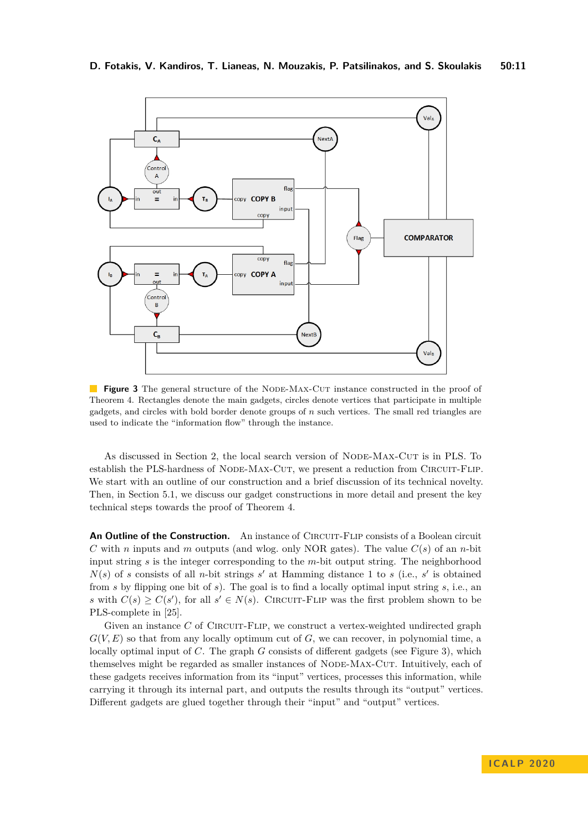<span id="page-10-0"></span>

**Figure 3** The general structure of the NODE-MAX-CUT instance constructed in the proof of Theorem [4.](#page-9-2) Rectangles denote the main gadgets, circles denote vertices that participate in multiple gadgets, and circles with bold border denote groups of *n* such vertices. The small red triangles are used to indicate the "information flow" through the instance.

As discussed in Section [2,](#page-4-0) the local search version of NODE-MAX-CUT is in PLS. To establish the PLS-hardness of NODE-MAX-CUT, we present a reduction from CIRCUIT-FLIP. We start with an outline of our construction and a brief discussion of its technical novelty. Then, in Section [5.1,](#page-12-0) we discuss our gadget constructions in more detail and present the key technical steps towards the proof of Theorem [4.](#page-9-2)

**An Outline of the Construction.** An instance of CIRCUIT-FLIP consists of a Boolean circuit *C* with *n* inputs and *m* outputs (and wlog. only NOR gates). The value *C*(*s*) of an *n*-bit input string *s* is the integer corresponding to the *m*-bit output string. The neighborhood  $N(s)$  of *s* consists of all *n*-bit strings *s*<sup>'</sup> at Hamming distance 1 to *s* (i.e., *s*<sup>'</sup> is obtained from *s* by flipping one bit of *s*). The goal is to find a locally optimal input string *s*, i.e., an *s* with  $C(s) \geq C(s')$ , for all  $s' \in N(s)$ . CIRCUIT-FLIP was the first problem shown to be PLS-complete in [\[25\]](#page-18-1).

Given an instance C of CIRCUIT-FLIP, we construct a vertex-weighted undirected graph  $G(V, E)$  so that from any locally optimum cut of  $G$ , we can recover, in polynomial time, a locally optimal input of *C*. The graph *G* consists of different gadgets (see Figure [3\)](#page-10-0), which themselves might be regarded as smaller instances of NODE-MAX-CUT. Intuitively, each of these gadgets receives information from its "input" vertices, processes this information, while carrying it through its internal part, and outputs the results through its "output" vertices. Different gadgets are glued together through their "input" and "output" vertices.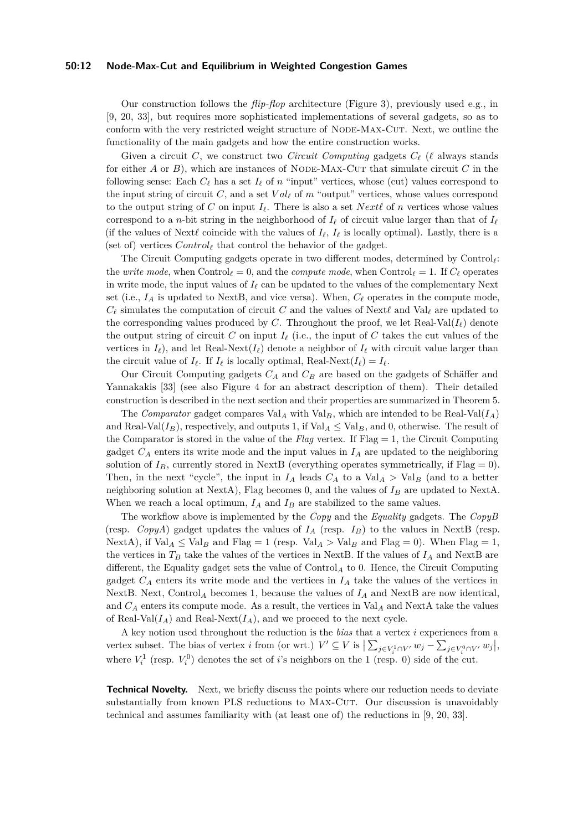#### **50:12 Node-Max-Cut and Equilibrium in Weighted Congestion Games**

Our construction follows the *flip-flop* architecture (Figure [3\)](#page-10-0), previously used e.g., in [\[9,](#page-17-1) [20,](#page-18-5) [33\]](#page-18-3), but requires more sophisticated implementations of several gadgets, so as to conform with the very restricted weight structure of NODE-MAX-CUT. Next, we outline the functionality of the main gadgets and how the entire construction works.

Given a circuit *C*, we construct two *Circuit Computing* gadgets  $C_{\ell}$  ( $\ell$  always stands for either *A* or *B*), which are instances of NODE-MAX-CUT that simulate circuit *C* in the following sense: Each  $C_{\ell}$  has a set  $I_{\ell}$  of  $n$  "input" vertices, whose (cut) values correspond to the input string of circuit *C*, and a set  $Val_{\ell}$  of *m* "output" vertices, whose values correspond to the output string of C on input  $I_\ell$ . There is also a set *Next* $\ell$  of *n* vertices whose values correspond to a *n*-bit string in the neighborhood of  $I_\ell$  of circuit value larger than that of  $I_\ell$ (if the values of Next $\ell$  coincide with the values of  $I_\ell$ ,  $I_\ell$  is locally optimal). Lastly, there is a (set of) vertices  $Control_{\ell}$  that control the behavior of the gadget.

The Circuit Computing gadgets operate in two different modes, determined by Control*`*: the *write mode*, when  $\text{Control}_\ell = 0$ , and the *compute mode*, when  $\text{Control}_\ell = 1$ . If  $C_\ell$  operates in write mode, the input values of  $I_\ell$  can be updated to the values of the complementary Next set (i.e.,  $I_A$  is updated to NextB, and vice versa). When,  $C_\ell$  operates in the compute mode,  $C_{\ell}$  simulates the computation of circuit *C* and the values of Next $\ell$  and Val<sub> $\ell$ </sub> are updated to the corresponding values produced by *C*. Throughout the proof, we let Real-Val( $I_{\ell}$ ) denote the output string of circuit *C* on input  $I_{\ell}$  (i.e., the input of *C* takes the cut values of the vertices in  $I_\ell$ ), and let Real-Next( $I_\ell$ ) denote a neighbor of  $I_\ell$  with circuit value larger than the circuit value of  $I_\ell$ . If  $I_\ell$  is locally optimal, Real-Next( $I_\ell$ ) =  $I_\ell$ .

Our Circuit Computing gadgets *C<sup>A</sup>* and *C<sup>B</sup>* are based on the gadgets of Schäffer and Yannakakis [\[33\]](#page-18-3) (see also Figure [4](#page-13-0) for an abstract description of them). Their detailed construction is described in the next section and their properties are summarized in Theorem [5.](#page-13-1)

The *Comparator* gadget compares  $Val_A$  with  $Val_B$ , which are intended to be Real-Val $(I_A)$ and Real-Val $(I_B)$ , respectively, and outputs 1, if Val<sub>*A*</sub>  $\leq$  Val<sub>*B*</sub>, and 0, otherwise. The result of the Comparator is stored in the value of the  $Flag$  vertex. If  $Flag = 1$ , the Circuit Computing gadget  $C_A$  enters its write mode and the input values in  $I_A$  are updated to the neighboring solution of  $I_B$ , currently stored in NextB (everything operates symmetrically, if Flag = 0). Then, in the next "cycle", the input in  $I_A$  leads  $C_A$  to a Val<sub>*A*</sub> > Val<sub>*B*</sub> (and to a better neighboring solution at NextA), Flag becomes 0, and the values of *I<sup>B</sup>* are updated to NextA. When we reach a local optimum,  $I_A$  and  $I_B$  are stabilized to the same values.

The workflow above is implemented by the *Copy* and the *Equality* gadgets. The *CopyB* (resp. *CopyA*) gadget updates the values of  $I_A$  (resp.  $I_B$ ) to the values in NextB (resp. NextA), if  $Val_A \leq Val_B$  and  $Flag = 1$  (resp.  $Val_A > Val_B$  and  $Flag = 0$ ). When  $Flag = 1$ , the vertices in  $T_B$  take the values of the vertices in NextB. If the values of  $I_A$  and NextB are different, the Equality gadget sets the value of Control*<sup>A</sup>* to 0. Hence, the Circuit Computing gadget  $C_A$  enters its write mode and the vertices in  $I_A$  take the values of the vertices in NextB. Next, Control<sub>A</sub> becomes 1, because the values of  $I_A$  and NextB are now identical, and  $C_A$  enters its compute mode. As a result, the vertices in  $Val_A$  and  $NextA$  take the values of Real-Val $(I_A)$  and Real-Next $(I_A)$ , and we proceed to the next cycle.

A key notion used throughout the reduction is the *bias* that a vertex *i* experiences from a vertex subset. The bias of vertex *i* from (or wrt.)  $V' \subseteq V$  is  $\sum_{j \in V_i^1 \cap V'} w_j - \sum_{j \in V_i^0 \cap V'} w_j$ , where  $V_i^1$  (resp.  $V_i^0$ ) denotes the set of *i*'s neighbors on the 1 (resp. 0) side of the cut.

**Technical Novelty.** Next, we briefly discuss the points where our reduction needs to deviate substantially from known PLS reductions to MAX-CUT. Our discussion is unavoidably technical and assumes familiarity with (at least one of) the reductions in [\[9,](#page-17-1) [20,](#page-18-5) [33\]](#page-18-3).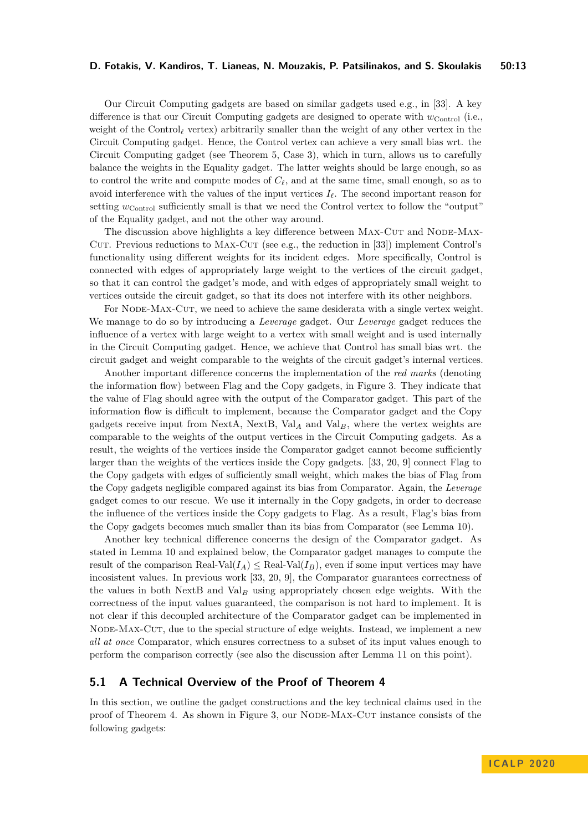Our Circuit Computing gadgets are based on similar gadgets used e.g., in [\[33\]](#page-18-3). A key difference is that our Circuit Computing gadgets are designed to operate with *w*Control (i.e., weight of the Control<sub> $\ell$ </sub> vertex) arbitrarily smaller than the weight of any other vertex in the Circuit Computing gadget. Hence, the Control vertex can achieve a very small bias wrt. the Circuit Computing gadget (see Theorem [5,](#page-13-1) Case 3), which in turn, allows us to carefully balance the weights in the Equality gadget. The latter weights should be large enough, so as to control the write and compute modes of  $C_{\ell}$ , and at the same time, small enough, so as to avoid interference with the values of the input vertices  $I_\ell$ . The second important reason for setting *w*<sub>Control</sub> sufficiently small is that we need the Control vertex to follow the "output" of the Equality gadget, and not the other way around.

The discussion above highlights a key difference between MAX-CUT and NODE-MAX-CUT. Previous reductions to MAX-CUT (see e.g., the reduction in  $[33]$ ) implement Control's functionality using different weights for its incident edges. More specifically, Control is connected with edges of appropriately large weight to the vertices of the circuit gadget, so that it can control the gadget's mode, and with edges of appropriately small weight to vertices outside the circuit gadget, so that its does not interfere with its other neighbors.

For NODE-MAX-CUT, we need to achieve the same desiderata with a single vertex weight. We manage to do so by introducing a *Leverage* gadget. Our *Leverage* gadget reduces the influence of a vertex with large weight to a vertex with small weight and is used internally in the Circuit Computing gadget. Hence, we achieve that Control has small bias wrt. the circuit gadget and weight comparable to the weights of the circuit gadget's internal vertices.

Another important difference concerns the implementation of the *red marks* (denoting the information flow) between Flag and the Copy gadgets, in Figure [3.](#page-10-0) They indicate that the value of Flag should agree with the output of the Comparator gadget. This part of the information flow is difficult to implement, because the Comparator gadget and the Copy gadgets receive input from NextA, NextB, Val*<sup>A</sup>* and Val*B*, where the vertex weights are comparable to the weights of the output vertices in the Circuit Computing gadgets. As a result, the weights of the vertices inside the Comparator gadget cannot become sufficiently larger than the weights of the vertices inside the Copy gadgets. [\[33,](#page-18-3) [20,](#page-18-5) [9\]](#page-17-1) connect Flag to the Copy gadgets with edges of sufficiently small weight, which makes the bias of Flag from the Copy gadgets negligible compared against its bias from Comparator. Again, the *Leverage* gadget comes to our rescue. We use it internally in the Copy gadgets, in order to decrease the influence of the vertices inside the Copy gadgets to Flag. As a result, Flag's bias from the Copy gadgets becomes much smaller than its bias from Comparator (see Lemma [10\)](#page-14-0).

Another key technical difference concerns the design of the Comparator gadget. As stated in Lemma [10](#page-14-0) and explained below, the Comparator gadget manages to compute the result of the comparison Real-Val $(I_A) \leq$  Real-Val $(I_B)$ , even if some input vertices may have incosistent values. In previous work [\[33,](#page-18-3) [20,](#page-18-5) [9\]](#page-17-1), the Comparator guarantees correctness of the values in both NextB and Val*<sup>B</sup>* using appropriately chosen edge weights. With the correctness of the input values guaranteed, the comparison is not hard to implement. It is not clear if this decoupled architecture of the Comparator gadget can be implemented in NODE-MAX-CUT, due to the special structure of edge weights. Instead, we implement a new *all at once* Comparator, which ensures correctness to a subset of its input values enough to perform the comparison correctly (see also the discussion after Lemma [11](#page-15-0) on this point).

## <span id="page-12-0"></span>**5.1 A Technical Overview of the Proof of Theorem [4](#page-9-2)**

In this section, we outline the gadget constructions and the key technical claims used in the proof of Theorem [4.](#page-9-2) As shown in Figure [3,](#page-10-0) our Node-Max-Cut instance consists of the following gadgets: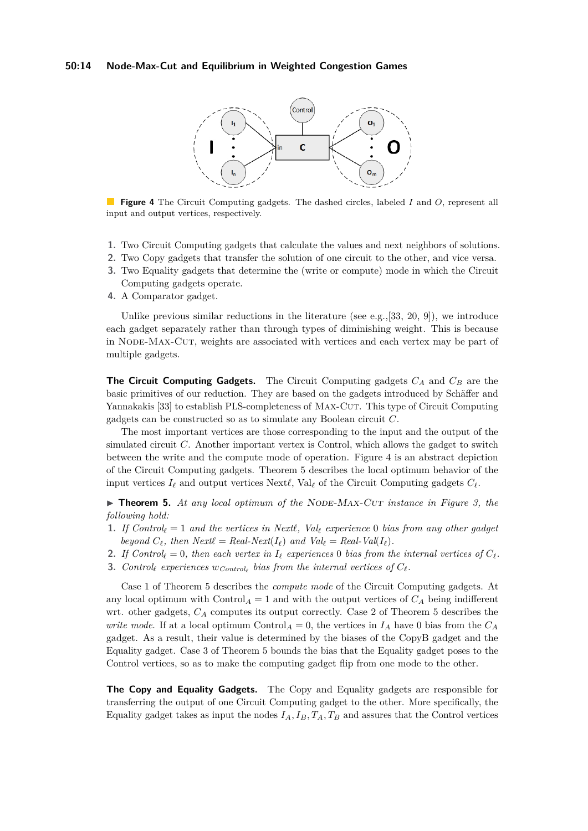#### <span id="page-13-0"></span>**50:14 Node-Max-Cut and Equilibrium in Weighted Congestion Games**



**Figure 4** The Circuit Computing gadgets. The dashed circles, labeled *I* and *O*, represent all input and output vertices, respectively.

- **1.** Two Circuit Computing gadgets that calculate the values and next neighbors of solutions.
- **2.** Two Copy gadgets that transfer the solution of one circuit to the other, and vice versa.
- **3.** Two Equality gadgets that determine the (write or compute) mode in which the Circuit Computing gadgets operate.
- **4.** A Comparator gadget.

Unlike previous similar reductions in the literature (see e.g.,  $[33, 20, 9]$  $[33, 20, 9]$  $[33, 20, 9]$  $[33, 20, 9]$  $[33, 20, 9]$ ), we introduce each gadget separately rather than through types of diminishing weight. This is because in Node-Max-Cut, weights are associated with vertices and each vertex may be part of multiple gadgets.

**The Circuit Computing Gadgets.** The Circuit Computing gadgets *C<sup>A</sup>* and *C<sup>B</sup>* are the basic primitives of our reduction. They are based on the gadgets introduced by Schäffer and Yannakakis [\[33\]](#page-18-3) to establish PLS-completeness of MAX-CUT. This type of Circuit Computing gadgets can be constructed so as to simulate any Boolean circuit *C*.

The most important vertices are those corresponding to the input and the output of the simulated circuit *C*. Another important vertex is Control, which allows the gadget to switch between the write and the compute mode of operation. Figure [4](#page-13-0) is an abstract depiction of the Circuit Computing gadgets. Theorem [5](#page-13-1) describes the local optimum behavior of the input vertices  $I_\ell$  and output vertices Next $\ell$ , Val<sub> $\ell$ </sub> of the Circuit Computing gadgets  $C_\ell$ .

<span id="page-13-1"></span>▶ **Theorem 5.** At any local optimum of the NODE-MAX-CUT instance in Figure [3,](#page-10-0) the *following hold:*

- **1.** If  $Control_{\ell} = 1$  and the vertices in  $Next$ ,  $Val_{\ell}$  experience 0 bias from any other gadget *beyond*  $C_{\ell}$ *, then*  $Next\ell = Real-Next(I_{\ell})$  *and*  $Val_{\ell} = Real-Val(I_{\ell})$ *.*
- **2.** *If*  $Control_{\ell} = 0$ *, then each vertex in*  $I_{\ell}$  *experiences* 0 *bias from the internal vertices of*  $C_{\ell}$ *.*
- **3.** *Control<sub></sub> experiences*  $w_{Control_{\ell}}$  *bias from the internal vertices of*  $C_{\ell}$ *.*

Case 1 of Theorem [5](#page-13-1) describes the *compute mode* of the Circuit Computing gadgets. At any local optimum with  $\text{Control}_A = 1$  and with the output vertices of  $C_A$  being indifferent wrt. other gadgets, *C<sup>A</sup>* computes its output correctly. Case 2 of Theorem [5](#page-13-1) describes the *write mode*. If at a local optimum Control<sub>*A*</sub> = 0, the vertices in  $I_A$  have 0 bias from the  $C_A$ gadget. As a result, their value is determined by the biases of the CopyB gadget and the Equality gadget. Case 3 of Theorem [5](#page-13-1) bounds the bias that the Equality gadget poses to the Control vertices, so as to make the computing gadget flip from one mode to the other.

**The Copy and Equality Gadgets.** The Copy and Equality gadgets are responsible for transferring the output of one Circuit Computing gadget to the other. More specifically, the Equality gadget takes as input the nodes  $I_A$ ,  $I_B$ ,  $T_A$ ,  $T_B$  and assures that the Control vertices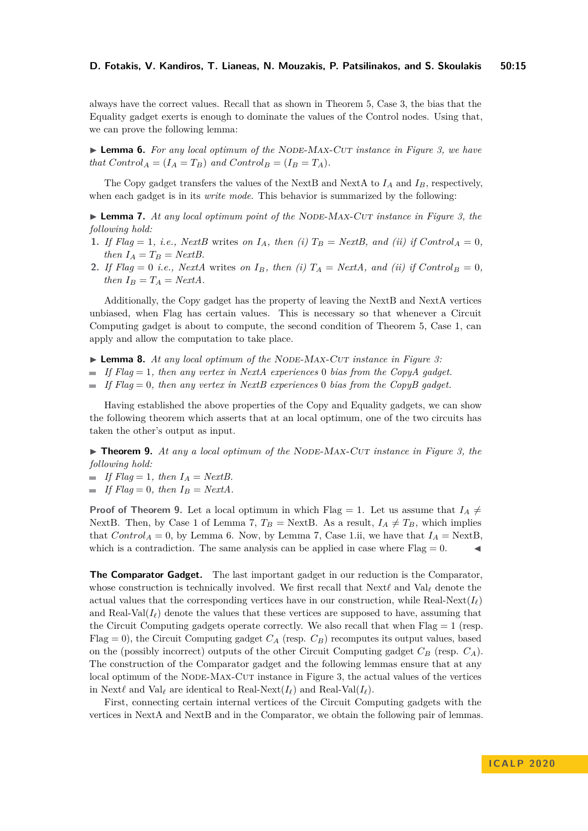always have the correct values. Recall that as shown in Theorem [5,](#page-13-1) Case 3, the bias that the Equality gadget exerts is enough to dominate the values of the Control nodes. Using that, we can prove the following lemma:

<span id="page-14-3"></span>▶ **Lemma 6.** *For any local optimum of the NODE-MAX-CUT instance in Figure [3,](#page-10-0) we have that*  $Control_A = (I_A = T_B)$  *and*  $Control_B = (I_B = T_A)$ *.* 

The Copy gadget transfers the values of the NextB and NextA to  $I_A$  and  $I_B$ , respectively, when each gadget is in its *write mode*. This behavior is summarized by the following:

<span id="page-14-2"></span>► **Lemma 7.** At any local optimum point of the NODE-MAX-CUT instance in Figure [3,](#page-10-0) the *following hold:*

- **1.** If Flag = 1, i.e., NextB writes on  $I_A$ , then (i)  $T_B = NextB$ , and (ii) if  $Control_A = 0$ , *then*  $I_A = T_B = NextB$ .
- **2.** *If*  $Flag = 0$  *i.e., NextA* writes *on*  $I_B$ *, then (i)*  $T_A = NextA$ *, and (ii) if*  $Control_B = 0$ *, then*  $I_B = T_A = NextA$ .

Additionally, the Copy gadget has the property of leaving the NextB and NextA vertices unbiased, when Flag has certain values. This is necessary so that whenever a Circuit Computing gadget is about to compute, the second condition of Theorem [5,](#page-13-1) Case 1, can apply and allow the computation to take place.

- <span id="page-14-4"></span>► **Lemma 8.** At any local optimum of the NODE-MAX-CUT instance in Figure [3:](#page-10-0)
- *If Flag* = 1*, then any vertex in NextA experiences* 0 *bias from the CopyA gadget.*
- *If Flag* = 0*, then any vertex in NextB experiences* 0 *bias from the CopyB gadget.*

Having established the above properties of the Copy and Equality gadgets, we can show the following theorem which asserts that at an local optimum, one of the two circuits has taken the other's output as input.

<span id="page-14-1"></span>▶ **Theorem 9.** At any a local optimum of the NODE-MAX-CUT instance in Figure [3,](#page-10-0) the *following hold:*

- $\blacksquare$  *If Flag* = 1*, then*  $I_A = NextB$ .
- $\blacksquare$  *If Flag* = 0, then  $I_B = NextA$ .

**Proof of Theorem [9.](#page-14-1)** Let a local optimum in which Flag = 1. Let us assume that  $I_A \neq$ NextB. Then, by Case 1 of Lemma [7,](#page-14-2)  $T_B =$  NextB. As a result,  $I_A \neq T_B$ , which implies that *Control<sub>A</sub>* = 0, by Lemma [6.](#page-14-3) Now, by Lemma [7,](#page-14-2) Case 1.ii, we have that  $I_A$  = NextB, which is a contradiction. The same analysis can be applied in case where  $Flag = 0$ .

**The Comparator Gadget.** The last important gadget in our reduction is the Comparator, whose construction is technically involved. We first recall that  $Next\ell$  and  $Val_{\ell}$  denote the actual values that the corresponding vertices have in our construction, while Real-Next $(I_\ell)$ and Real-Val $(I_\ell)$  denote the values that these vertices are supposed to have, assuming that the Circuit Computing gadgets operate correctly. We also recall that when  $Flag = 1$  (resp. Flag  $= 0$ ), the Circuit Computing gadget  $C_A$  (resp.  $C_B$ ) recomputes its output values, based on the (possibly incorrect) outputs of the other Circuit Computing gadget  $C_B$  (resp.  $C_A$ ). The construction of the Comparator gadget and the following lemmas ensure that at any local optimum of the NODE-MAX-CUT instance in Figure [3,](#page-10-0) the actual values of the vertices in Next $\ell$  and Val<sub>l</sub><sup></sup> are identical to Real-Next( $I_\ell$ ) and Real-Val( $I_\ell$ ).

<span id="page-14-0"></span>First, connecting certain internal vertices of the Circuit Computing gadgets with the vertices in NextA and NextB and in the Comparator, we obtain the following pair of lemmas.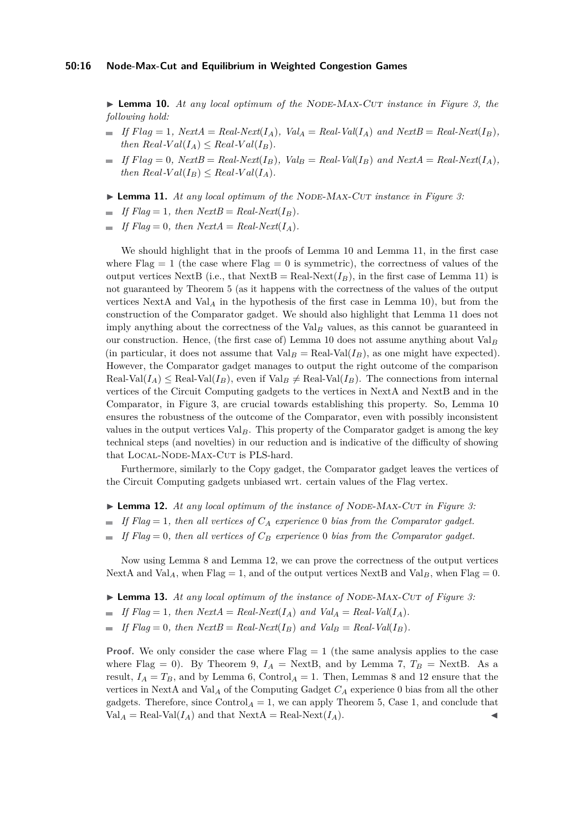▶ **Lemma 10.** *At any local optimum of the NODE-MAX-CUT instance in Figure [3,](#page-10-0) the following hold:*

- $\blacksquare$  *If*  $Flag = 1$ *,*  $NextA = Real-Next(I_A)$ *,*  $Val_A = Real-Val(I_A)$  *and*  $NextB = Real-Next(I_B)$ *, then*  $Real-Val(I_A) \leq Real-Val(I_B)$ .
- $\blacksquare$  *If*  $Flag = 0$ *,*  $NextB = Real-Next(I_B)$ *,*  $Val_B = Real-Val(I_B)$  *and*  $NextA = Real-Next(I_A)$ *, then*  $Real$ *-Val*( $I_B$ )  $\leq Real$ *-Val*( $I_A$ )*.*
- <span id="page-15-0"></span>▶ **Lemma 11.** *At any local optimum of the NODE-MAX-CUT instance in Figure [3:](#page-10-0)*
- *If Flag* = 1*, then NextB* =  $Real-Next(I_B)$ .
- *If Flag* = 0*, then NextA* =  $Real-Next(I_A)$ .

We should highlight that in the proofs of Lemma [10](#page-14-0) and Lemma [11,](#page-15-0) in the first case where  $Flag = 1$  (the case where  $Flag = 0$  is symmetric), the correctness of values of the output vertices NextB (i.e., that  $NextB = Real-Next(I_B)$ , in the first case of Lemma [11\)](#page-15-0) is not guaranteed by Theorem [5](#page-13-1) (as it happens with the correctness of the values of the output vertices NextA and Val*<sup>A</sup>* in the hypothesis of the first case in Lemma [10\)](#page-14-0), but from the construction of the Comparator gadget. We should also highlight that Lemma [11](#page-15-0) does not imply anything about the correctness of the Val*<sup>B</sup>* values, as this cannot be guaranteed in our construction. Hence, (the first case of) Lemma [10](#page-14-0) does not assume anything about Val*<sup>B</sup>* (in particular, it does not assume that  $Val_B = Real-Val(I_B)$ , as one might have expected). However, the Comparator gadget manages to output the right outcome of the comparison  $\text{Real-Val}(I_A) \leq \text{Real-Val}(I_B)$ , even if  $\text{Val}_B \neq \text{Real-Val}(I_B)$ . The connections from internal vertices of the Circuit Computing gadgets to the vertices in NextA and NextB and in the Comparator, in Figure [3,](#page-10-0) are crucial towards establishing this property. So, Lemma [10](#page-14-0) ensures the robustness of the outcome of the Comparator, even with possibly inconsistent values in the output vertices  $Val_B$ . This property of the Comparator gadget is among the key technical steps (and novelties) in our reduction and is indicative of the difficulty of showing that LOCAL-NODE-MAX-CUT is PLS-hard.

Furthermore, similarly to the Copy gadget, the Comparator gadget leaves the vertices of the Circuit Computing gadgets unbiased wrt. certain values of the Flag vertex.

- <span id="page-15-1"></span>▶ **Lemma 12.** *At any local optimum of the instance of NODE-MAX-CUT in Figure [3:](#page-10-0)*
- $\blacksquare$  *If Flag* = 1*, then all vertices of*  $C_A$  *experience* 0 *bias from the Comparator gadget.*
- $\blacksquare$  *If Flag* = 0, then all vertices of  $C_B$  experience 0 bias from the Comparator gadget.

Now using Lemma [8](#page-14-4) and Lemma [12,](#page-15-1) we can prove the correctness of the output vertices NextA and Val<sub>A</sub>, when Flag = 1, and of the output vertices NextB and Val<sub>B</sub>, when Flag = 0.

- <span id="page-15-2"></span>► **Lemma 13.** At any local optimum of the instance of NODE-MAX-CUT of Figure [3:](#page-10-0)
- *If*  $Flag = 1$ *, then*  $NextA = Real-Next(I_A)$  *and*  $Val_A = Real-Val(I_A)$ *.*
- *If*  $Flag = 0$ *, then*  $NextB = Real-Next(I_B)$  *and*  $Val_B = Real-Val(I_B)$ *.*

**Proof.** We only consider the case where  $Flag = 1$  (the same analysis applies to the case where Flag = 0). By Theorem [9,](#page-14-1)  $I_A$  = NextB, and by Lemma [7,](#page-14-2)  $T_B$  = NextB. As a result,  $I_A = T_B$ , and by Lemma [6,](#page-14-3) Control<sub>A</sub> = 1. Then, Lemmas [8](#page-14-4) and [12](#page-15-1) ensure that the vertices in NextA and Val*<sup>A</sup>* of the Computing Gadget *C<sup>A</sup>* experience 0 bias from all the other gadgets. Therefore, since  $Control_A = 1$ , we can apply Theorem [5,](#page-13-1) Case 1, and conclude that  $Val_A = Real-Val(I_A)$  and that  $NextA = Real-Next(I_A)$ .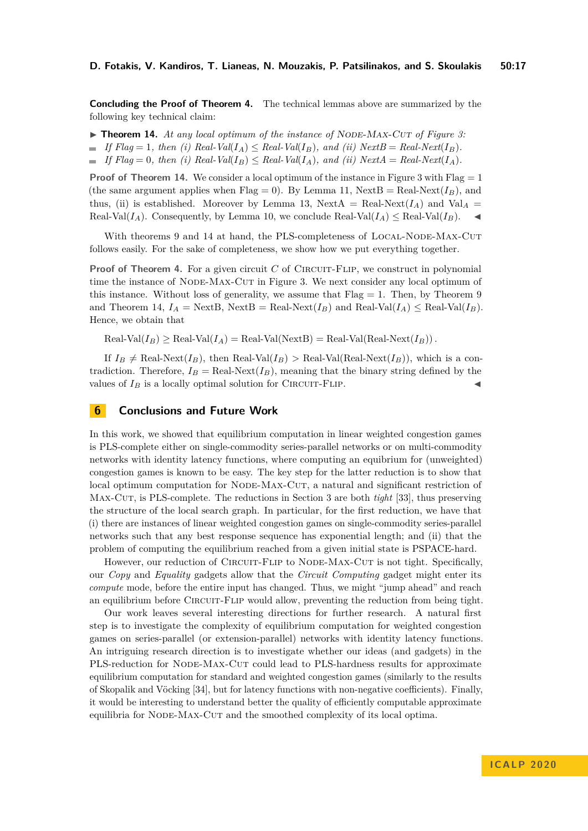**Concluding the Proof of Theorem [4.](#page-9-2)** The technical lemmas above are summarized by the following key technical claim:

- <span id="page-16-0"></span>▶ **Theorem 14.** At any local optimum of the instance of NODE-MAX-CUT of Figure [3:](#page-10-0)
- $\blacksquare$  *If Flag* = 1*, then (i) Real-Val*( $I_A$ ) < *Real-Val*( $I_B$ )*, and (ii) NextB* = *Real-Next*( $I_B$ )*.*
- $\blacksquare$  *If Flag* = 0*, then (i) Real-Val*(*I<sub>B</sub>*)  $\leq$  *Real-Val*(*I<sub>A</sub>*)*, and (ii) NextA* = *Real-Next*(*I<sub>A</sub>*)*.*

**Proof of Theorem [14.](#page-16-0)** We consider a local optimum of the instance in Figure [3](#page-10-0) with  $Flag = 1$ (the same argument applies when Flag = 0). By Lemma [11,](#page-15-0) NextB = Real-Next $(I_B)$ , and thus, (ii) is established. Moreover by Lemma [13,](#page-15-2) NextA = Real-Next $(I_A)$  and Val<sub>A</sub> = Real-Val( $I_A$ ). Consequently, by Lemma [10,](#page-14-0) we conclude Real-Val( $I_A$ )  $\leq$  Real-Val( $I_B$ ).

With theorems [9](#page-14-1) and [14](#page-16-0) at hand, the PLS-completeness of LOCAL-NODE-MAX-CUT follows easily. For the sake of completeness, we show how we put everything together.

**Proof of Theorem [4.](#page-9-2)** For a given circuit *C* of CIRCUIT-FLIP, we construct in polynomial time the instance of NODE-MAX-CUT in Figure [3.](#page-10-0) We next consider any local optimum of this instance. Without loss of generality, we assume that  $Flag = 1$ . Then, by Theorem [9](#page-14-1) and Theorem [14,](#page-16-0)  $I_A = \text{NextB}$ ,  $\text{NextB} = \text{Real-Next}(I_B)$  and  $\text{Real-Val}(I_A) \le \text{Real-Val}(I_B)$ . Hence, we obtain that

 $\text{Real-Val}(I_B) \ge \text{Real-Val}(I_A) = \text{Real-Val}(\text{NextB}) = \text{Real-Val}(\text{Real-Next}(I_B)).$ 

If  $I_B \neq \text{Real-Next}(I_B)$ , then Real-Val $(I_B) > \text{Real-Val}(\text{Real-Next}(I_B))$ , which is a contradiction. Therefore,  $I_B = \text{Real-Next}(I_B)$ , meaning that the binary string defined by the values of  $I_B$  is a locally optimal solution for CIRCUIT-FLIP.

## **6 Conclusions and Future Work**

In this work, we showed that equilibrium computation in linear weighted congestion games is PLS-complete either on single-commodity series-parallel networks or on multi-commodity networks with identity latency functions, where computing an equibrium for (unweighted) congestion games is known to be easy. The key step for the latter reduction is to show that local optimum computation for NODE-MAX-CUT, a natural and significant restriction of Max-Cut, is PLS-complete. The reductions in Section [3](#page-6-3) are both *tight* [\[33\]](#page-18-3), thus preserving the structure of the local search graph. In particular, for the first reduction, we have that (i) there are instances of linear weighted congestion games on single-commodity series-parallel networks such that any best response sequence has exponential length; and (ii) that the problem of computing the equilibrium reached from a given initial state is PSPACE-hard.

However, our reduction of CIRCUIT-FLIP to NODE-MAX-CUT is not tight. Specifically, our *Copy* and *Equality* gadgets allow that the *Circuit Computing* gadget might enter its *compute* mode, before the entire input has changed. Thus, we might "jump ahead" and reach an equilibrium before CIRCUIT-FLIP would allow, preventing the reduction from being tight.

Our work leaves several interesting directions for further research. A natural first step is to investigate the complexity of equilibrium computation for weighted congestion games on series-parallel (or extension-parallel) networks with identity latency functions. An intriguing research direction is to investigate whether our ideas (and gadgets) in the PLS-reduction for NODE-MAX-CUT could lead to PLS-hardness results for approximate equilibrium computation for standard and weighted congestion games (similarly to the results of Skopalik and Vöcking [\[34\]](#page-18-4), but for latency functions with non-negative coefficients). Finally, it would be interesting to understand better the quality of efficiently computable approximate equilibria for NODE-MAX-CUT and the smoothed complexity of its local optima.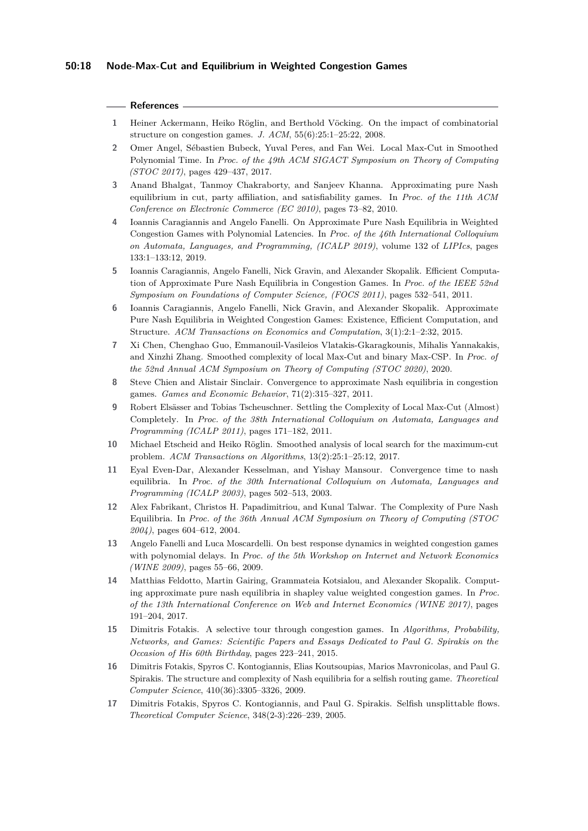#### **References**

- <span id="page-17-0"></span>**1** Heiner Ackermann, Heiko Röglin, and Berthold Vöcking. On the impact of combinatorial structure on congestion games. *J. ACM*, 55(6):25:1–25:22, 2008.
- <span id="page-17-2"></span>**2** Omer Angel, Sébastien Bubeck, Yuval Peres, and Fan Wei. Local Max-Cut in Smoothed Polynomial Time. In *Proc. of the 49th ACM SIGACT Symposium on Theory of Computing (STOC 2017)*, pages 429–437, 2017.
- <span id="page-17-5"></span>**3** Anand Bhalgat, Tanmoy Chakraborty, and Sanjeev Khanna. Approximating pure Nash equilibrium in cut, party affiliation, and satisfiability games. In *Proc. of the 11th ACM Conference on Electronic Commerce (EC 2010)*, pages 73–82, 2010.
- <span id="page-17-11"></span>**4** Ioannis Caragiannis and Angelo Fanelli. On Approximate Pure Nash Equilibria in Weighted Congestion Games with Polynomial Latencies. In *Proc. of the 46th International Colloquium on Automata, Languages, and Programming, (ICALP 2019)*, volume 132 of *LIPIcs*, pages 133:1–133:12, 2019.
- <span id="page-17-12"></span>**5** Ioannis Caragiannis, Angelo Fanelli, Nick Gravin, and Alexander Skopalik. Efficient Computation of Approximate Pure Nash Equilibria in Congestion Games. In *Proc. of the IEEE 52nd Symposium on Foundations of Computer Science, (FOCS 2011)*, pages 532–541, 2011.
- <span id="page-17-6"></span>**6** Ioannis Caragiannis, Angelo Fanelli, Nick Gravin, and Alexander Skopalik. Approximate Pure Nash Equilibria in Weighted Congestion Games: Existence, Efficient Computation, and Structure. *ACM Transactions on Economics and Computation*, 3(1):2:1–2:32, 2015.
- <span id="page-17-3"></span>**7** Xi Chen, Chenghao Guo, Emmanouil-Vasileios Vlatakis-Gkaragkounis, Mihalis Yannakakis, and Xinzhi Zhang. Smoothed complexity of local Max-Cut and binary Max-CSP. In *Proc. of the 52nd Annual ACM Symposium on Theory of Computing (STOC 2020)*, 2020.
- <span id="page-17-13"></span>**8** Steve Chien and Alistair Sinclair. Convergence to approximate Nash equilibria in congestion games. *Games and Economic Behavior*, 71(2):315–327, 2011.
- <span id="page-17-1"></span>**9** Robert Elsässer and Tobias Tscheuschner. Settling the Complexity of Local Max-Cut (Almost) Completely. In *Proc. of the 38th International Colloquium on Automata, Languages and Programming (ICALP 2011)*, pages 171–182, 2011.
- <span id="page-17-4"></span>**10** Michael Etscheid and Heiko Röglin. Smoothed analysis of local search for the maximum-cut problem. *ACM Transactions on Algorithms*, 13(2):25:1–25:12, 2017.
- <span id="page-17-14"></span>**11** Eyal Even-Dar, Alexander Kesselman, and Yishay Mansour. Convergence time to nash equilibria. In *Proc. of the 30th International Colloquium on Automata, Languages and Programming (ICALP 2003)*, pages 502–513, 2003.
- <span id="page-17-8"></span>**12** Alex Fabrikant, Christos H. Papadimitriou, and Kunal Talwar. The Complexity of Pure Nash Equilibria. In *Proc. of the 36th Annual ACM Symposium on Theory of Computing (STOC 2004)*, pages 604–612, 2004.
- <span id="page-17-15"></span>**13** Angelo Fanelli and Luca Moscardelli. On best response dynamics in weighted congestion games with polynomial delays. In *Proc. of the 5th Workshop on Internet and Network Economics (WINE 2009)*, pages 55–66, 2009.
- <span id="page-17-16"></span>**14** Matthias Feldotto, Martin Gairing, Grammateia Kotsialou, and Alexander Skopalik. Computing approximate pure nash equilibria in shapley value weighted congestion games. In *Proc. of the 13th International Conference on Web and Internet Economics (WINE 2017)*, pages 191–204, 2017.
- <span id="page-17-7"></span>**15** Dimitris Fotakis. A selective tour through congestion games. In *Algorithms, Probability, Networks, and Games: Scientific Papers and Essays Dedicated to Paul G. Spirakis on the Occasion of His 60th Birthday*, pages 223–241, 2015.
- <span id="page-17-10"></span>**16** Dimitris Fotakis, Spyros C. Kontogiannis, Elias Koutsoupias, Marios Mavronicolas, and Paul G. Spirakis. The structure and complexity of Nash equilibria for a selfish routing game. *Theoretical Computer Science*, 410(36):3305–3326, 2009.
- <span id="page-17-9"></span>**17** Dimitris Fotakis, Spyros C. Kontogiannis, and Paul G. Spirakis. Selfish unsplittable flows. *Theoretical Computer Science*, 348(2-3):226–239, 2005.